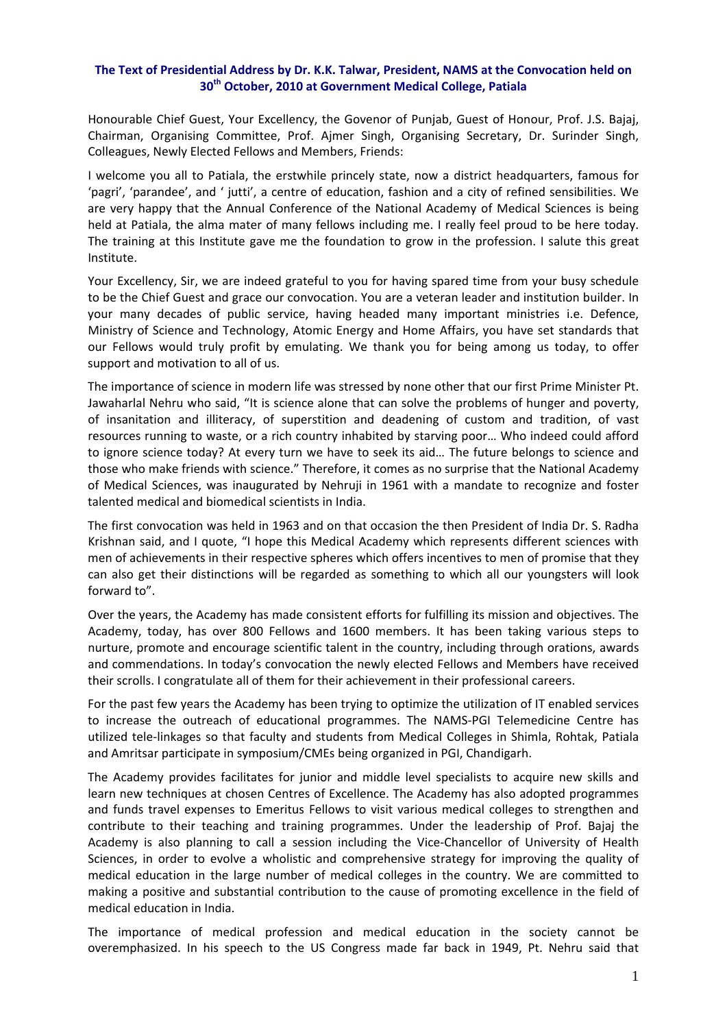## **The Text of Presidential Address by Dr. K.K. Talwar, President, NAMS at the Convocation held on 30th October, 2010 at Government Medical College, Patiala**

Honourable Chief Guest, Your Excellency, the Govenor of Punjab, Guest of Honour, Prof. J.S. Bajaj, Chairman, Organising Committee, Prof. Ajmer Singh, Organising Secretary, Dr. Surinder Singh, Colleagues, Newly Elected Fellows and Members, Friends:

I welcome you all to Patiala, the erstwhile princely state, now a district headquarters, famous for 'pagri', 'parandee', and ' jutti', a centre of education, fashion and a city of refined sensibilities. We are very happy that the Annual Conference of the National Academy of Medical Sciences is being held at Patiala, the alma mater of many fellows including me. I really feel proud to be here today. The training at this Institute gave me the foundation to grow in the profession. I salute this great Institute.

Your Excellency, Sir, we are indeed grateful to you for having spared time from your busy schedule to be the Chief Guest and grace our convocation. You are a veteran leader and institution builder. In your many decades of public service, having headed many important ministries i.e. Defence, Ministry of Science and Technology, Atomic Energy and Home Affairs, you have set standards that our Fellows would truly profit by emulating. We thank you for being among us today, to offer support and motivation to all of us.

The importance of science in modern life was stressed by none other that our first Prime Minister Pt. Jawaharlal Nehru who said, "It is science alone that can solve the problems of hunger and poverty, of insanitation and illiteracy, of superstition and deadening of custom and tradition, of vast resources running to waste, or a rich country inhabited by starving poor… Who indeed could afford to ignore science today? At every turn we have to seek its aid… The future belongs to science and those who make friends with science." Therefore, it comes as no surprise that the National Academy of Medical Sciences, was inaugurated by Nehruji in 1961 with a mandate to recognize and foster talented medical and biomedical scientists in India.

The first convocation was held in 1963 and on that occasion the then President of India Dr. S. Radha Krishnan said, and I quote, "I hope this Medical Academy which represents different sciences with men of achievements in their respective spheres which offers incentives to men of promise that they can also get their distinctions will be regarded as something to which all our youngsters will look forward to".

Over the years, the Academy has made consistent efforts for fulfilling its mission and objectives. The Academy, today, has over 800 Fellows and 1600 members. It has been taking various steps to nurture, promote and encourage scientific talent in the country, including through orations, awards and commendations. In today's convocation the newly elected Fellows and Members have received their scrolls. I congratulate all of them for their achievement in their professional careers.

For the past few years the Academy has been trying to optimize the utilization of IT enabled services to increase the outreach of educational programmes. The NAMS‐PGI Telemedicine Centre has utilized tele‐linkages so that faculty and students from Medical Colleges in Shimla, Rohtak, Patiala and Amritsar participate in symposium/CMEs being organized in PGI, Chandigarh.

The Academy provides facilitates for junior and middle level specialists to acquire new skills and learn new techniques at chosen Centres of Excellence. The Academy has also adopted programmes and funds travel expenses to Emeritus Fellows to visit various medical colleges to strengthen and contribute to their teaching and training programmes. Under the leadership of Prof. Bajaj the Academy is also planning to call a session including the Vice-Chancellor of University of Health Sciences, in order to evolve a wholistic and comprehensive strategy for improving the quality of medical education in the large number of medical colleges in the country. We are committed to making a positive and substantial contribution to the cause of promoting excellence in the field of medical education in India.

The importance of medical profession and medical education in the society cannot be overemphasized. In his speech to the US Congress made far back in 1949, Pt. Nehru said that